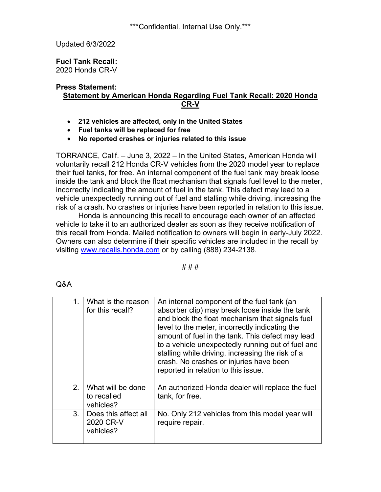\*\*\*Confidential. Internal Use Only.\*\*\*

Updated 6/3/2022

**Fuel Tank Recall:** 2020 Honda CR-V

## **Press Statement: Statement by American Honda Regarding Fuel Tank Recall: 2020 Honda CR-V**

- **212 vehicles are affected, only in the United States**
- **Fuel tanks will be replaced for free**
- **No reported crashes or injuries related to this issue**

TORRANCE, Calif. – June 3, 2022 – In the United States, American Honda will voluntarily recall 212 Honda CR-V vehicles from the 2020 model year to replace their fuel tanks, for free. An internal component of the fuel tank may break loose inside the tank and block the float mechanism that signals fuel level to the meter, incorrectly indicating the amount of fuel in the tank. This defect may lead to a vehicle unexpectedly running out of fuel and stalling while driving, increasing the risk of a crash. No crashes or injuries have been reported in relation to this issue.

Honda is announcing this recall to encourage each owner of an affected vehicle to take it to an authorized dealer as soon as they receive notification of this recall from Honda. Mailed notification to owners will begin in early-July 2022. Owners can also determine if their specific vehicles are included in the recall by visiting [www.recalls.honda.com](http://www.recalls.honda.com/) or by calling (888) 234-2138.

# # #

| e e<br>۰. |
|-----------|
|-----------|

| 1.             | What is the reason<br>for this recall?         | An internal component of the fuel tank (an<br>absorber clip) may break loose inside the tank<br>and block the float mechanism that signals fuel<br>level to the meter, incorrectly indicating the<br>amount of fuel in the tank. This defect may lead<br>to a vehicle unexpectedly running out of fuel and<br>stalling while driving, increasing the risk of a<br>crash. No crashes or injuries have been<br>reported in relation to this issue. |
|----------------|------------------------------------------------|--------------------------------------------------------------------------------------------------------------------------------------------------------------------------------------------------------------------------------------------------------------------------------------------------------------------------------------------------------------------------------------------------------------------------------------------------|
| 2.             | What will be done<br>to recalled<br>vehicles?  | An authorized Honda dealer will replace the fuel<br>tank, for free.                                                                                                                                                                                                                                                                                                                                                                              |
| 3 <sub>1</sub> | Does this affect all<br>2020 CR-V<br>vehicles? | No. Only 212 vehicles from this model year will<br>require repair.                                                                                                                                                                                                                                                                                                                                                                               |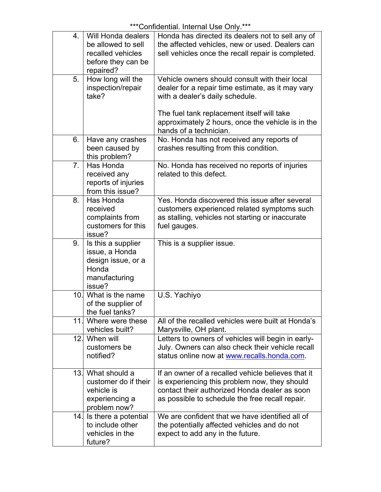| 4.             | Will Honda dealers<br>be allowed to sell<br>recalled vehicles<br>before they can be<br>repaired? | Honda has directed its dealers not to sell any of<br>the affected vehicles, new or used. Dealers can<br>sell vehicles once the recall repair is completed.                                                                                                          |
|----------------|--------------------------------------------------------------------------------------------------|---------------------------------------------------------------------------------------------------------------------------------------------------------------------------------------------------------------------------------------------------------------------|
| 5.             | How long will the<br>inspection/repair<br>take?                                                  | Vehicle owners should consult with their local<br>dealer for a repair time estimate, as it may vary<br>with a dealer's daily schedule.<br>The fuel tank replacement itself will take<br>approximately 2 hours, once the vehicle is in the<br>hands of a technician. |
| 6.             | Have any crashes<br>been caused by<br>this problem?                                              | No. Honda has not received any reports of<br>crashes resulting from this condition.                                                                                                                                                                                 |
| 7 <sub>1</sub> | Has Honda<br>received any<br>reports of injuries<br>from this issue?                             | No. Honda has received no reports of injuries<br>related to this defect.                                                                                                                                                                                            |
| 8.             | Has Honda<br>received<br>complaints from<br>customers for this<br>issue?                         | Yes. Honda discovered this issue after several<br>customers experienced related symptoms such<br>as stalling, vehicles not starting or inaccurate<br>fuel gauges.                                                                                                   |
| 9.             | Is this a supplier<br>issue, a Honda<br>design issue, or a<br>Honda<br>manufacturing<br>issue?   | This is a supplier issue.                                                                                                                                                                                                                                           |
|                | 10. What is the name<br>of the supplier of<br>the fuel tanks?                                    | U.S. Yachiyo                                                                                                                                                                                                                                                        |
| 11.1           | Where were these<br>vehicles built?                                                              | All of the recalled vehicles were built at Honda's<br>Marysville, OH plant.                                                                                                                                                                                         |
|                | 12. When will<br>customers be<br>notified?                                                       | Letters to owners of vehicles will begin in early-<br>July. Owners can also check their vehicle recall<br>status online now at www.recalls.honda.com.                                                                                                               |
|                | 13. What should a<br>customer do if their<br>vehicle is<br>experiencing a<br>problem now?        | If an owner of a recalled vehicle believes that it<br>is experiencing this problem now, they should<br>contact their authorized Honda dealer as soon<br>as possible to schedule the free recall repair.                                                             |
|                | 14. Is there a potential<br>to include other<br>vehicles in the<br>future?                       | We are confident that we have identified all of<br>the potentially affected vehicles and do not<br>expect to add any in the future.                                                                                                                                 |